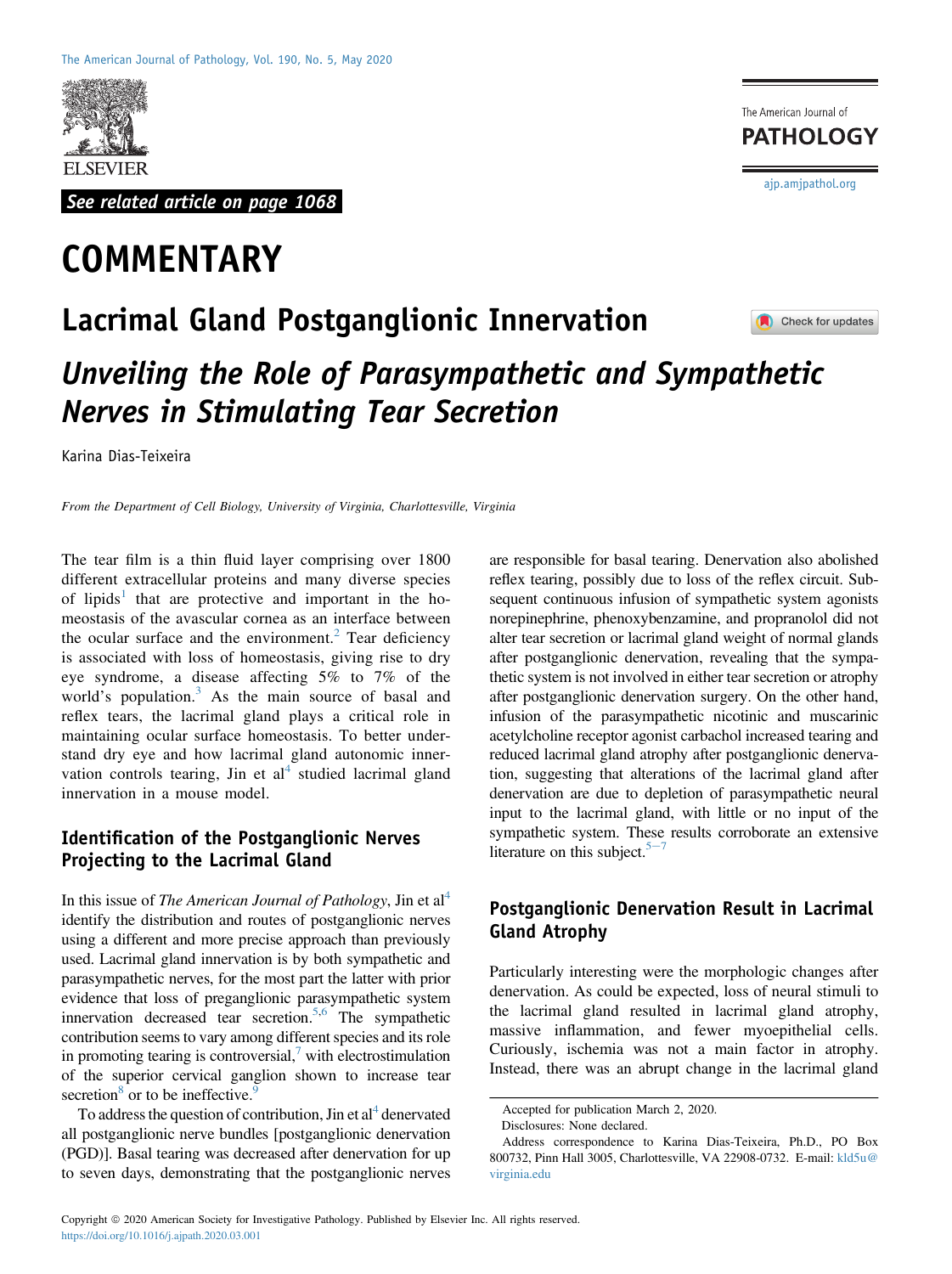

See related article on page 1068

# **COMMENTARY**

The American Journal of **PATHOLOGY** [ajp.amjpathol.org](http://ajp.amjpathol.org)

# Lacrimal Gland Postganglionic Innervation Check for updates Unveiling the Role of Parasympathetic and Sympathetic Nerves in Stimulating Tear Secretion

Karina Dias-Teixeira

From the Department of Cell Biology, University of Virginia, Charlottesville, Virginia

The tear film is a thin fluid layer comprising over 1800 different extracellular proteins and many diverse species of lipids<sup>[1](#page-1-0)</sup> that are protective and important in the homeostasis of the avascular cornea as an interface between the ocular surface and the environment. $2$  Tear deficiency is associated with loss of homeostasis, giving rise to dry eye syndrome, a disease affecting 5% to 7% of the world's population.<sup>[3](#page-1-2)</sup> As the main source of basal and reflex tears, the lacrimal gland plays a critical role in maintaining ocular surface homeostasis. To better understand dry eye and how lacrimal gland autonomic innervation controls tearing, Jin et  $al<sup>4</sup>$  $al<sup>4</sup>$  $al<sup>4</sup>$  studied lacrimal gland innervation in a mouse model.

### Identification of the Postganglionic Nerves Projecting to the Lacrimal Gland

In this issue of The American Journal of Pathology, Jin et  $al<sup>4</sup>$ identify the distribution and routes of postganglionic nerves using a different and more precise approach than previously used. Lacrimal gland innervation is by both sympathetic and parasympathetic nerves, for the most part the latter with prior evidence that loss of preganglionic parasympathetic system innervation decreased tear secretion.<sup>5[,6](#page-1-5)</sup> The sympathetic contribution seems to vary among different species and its role in promoting tearing is controversial, $\lambda$  with electrostimulation of the superior cervical ganglion shown to increase tear secretion $\delta$  or to be ineffective.

To address the question of contribution, Jin et  $al<sup>4</sup>$  denervated all postganglionic nerve bundles [postganglionic denervation (PGD)]. Basal tearing was decreased after denervation for up to seven days, demonstrating that the postganglionic nerves are responsible for basal tearing. Denervation also abolished reflex tearing, possibly due to loss of the reflex circuit. Subsequent continuous infusion of sympathetic system agonists norepinephrine, phenoxybenzamine, and propranolol did not alter tear secretion or lacrimal gland weight of normal glands after postganglionic denervation, revealing that the sympathetic system is not involved in either tear secretion or atrophy after postganglionic denervation surgery. On the other hand, infusion of the parasympathetic nicotinic and muscarinic acetylcholine receptor agonist carbachol increased tearing and reduced lacrimal gland atrophy after postganglionic denervation, suggesting that alterations of the lacrimal gland after denervation are due to depletion of parasympathetic neural input to the lacrimal gland, with little or no input of the sympathetic system. These results corroborate an extensive literature on this subject. $5<sup>-7</sup>$  $5<sup>-7</sup>$  $5<sup>-7</sup>$ 

## Postganglionic Denervation Result in Lacrimal Gland Atrophy

Particularly interesting were the morphologic changes after denervation. As could be expected, loss of neural stimuli to the lacrimal gland resulted in lacrimal gland atrophy, massive inflammation, and fewer myoepithelial cells. Curiously, ischemia was not a main factor in atrophy. Instead, there was an abrupt change in the lacrimal gland

Accepted for publication March 2, 2020.

Disclosures: None declared.

Address correspondence to Karina Dias-Teixeira, Ph.D., PO Box 800732, Pinn Hall 3005, Charlottesville, VA 22908-0732. E-mail: [kld5u@](mailto:kld5u@virginia.edu) [virginia.edu](mailto:kld5u@virginia.edu)